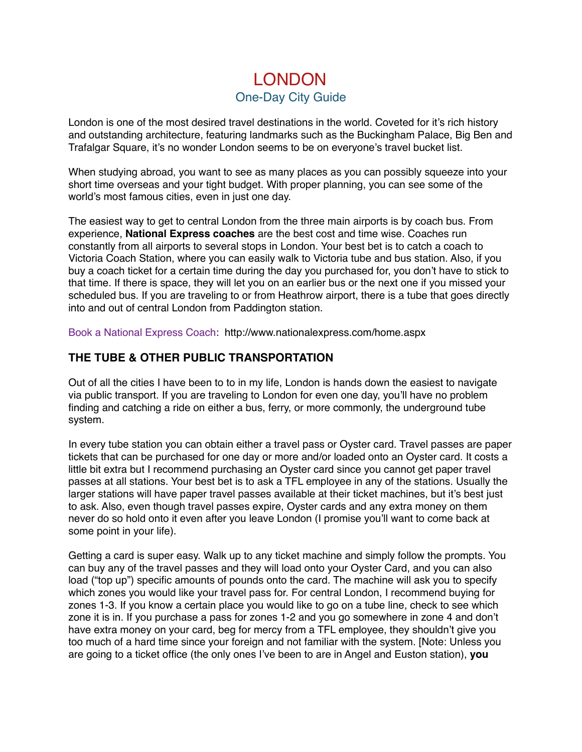# LONDON One-Day City Guide

London is one of the most desired travel destinations in the world. Coveted for it's rich history and outstanding architecture, featuring landmarks such as the Buckingham Palace, Big Ben and Trafalgar Square, it's no wonder London seems to be on everyone's travel bucket list.

When studying abroad, you want to see as many places as you can possibly squeeze into your short time overseas and your tight budget. With proper planning, you can see some of the world's most famous cities, even in just one day.

The easiest way to get to central London from the three main airports is by coach bus. From experience, **National Express coaches** are the best cost and time wise. Coaches run constantly from all airports to several stops in London. Your best bet is to catch a coach to Victoria Coach Station, where you can easily walk to Victoria tube and bus station. Also, if you buy a coach ticket for a certain time during the day you purchased for, you don't have to stick to that time. If there is space, they will let you on an earlier bus or the next one if you missed your scheduled bus. If you are traveling to or from Heathrow airport, there is a tube that goes directly into and out of central London from Paddington station.

Book a National Express Coach: http://www.nationalexpress.com/home.aspx

## **THE TUBE & OTHER PUBLIC TRANSPORTATION**

Out of all the cities I have been to to in my life, London is hands down the easiest to navigate via public transport. If you are traveling to London for even one day, you'll have no problem finding and catching a ride on either a bus, ferry, or more commonly, the underground tube system.

In every tube station you can obtain either a travel pass or Oyster card. Travel passes are paper tickets that can be purchased for one day or more and/or loaded onto an Oyster card. It costs a little bit extra but I recommend purchasing an Oyster card since you cannot get paper travel passes at all stations. Your best bet is to ask a TFL employee in any of the stations. Usually the larger stations will have paper travel passes available at their ticket machines, but it's best just to ask. Also, even though travel passes expire, Oyster cards and any extra money on them never do so hold onto it even after you leave London (I promise you'll want to come back at some point in your life).

Getting a card is super easy. Walk up to any ticket machine and simply follow the prompts. You can buy any of the travel passes and they will load onto your Oyster Card, and you can also load ("top up") specific amounts of pounds onto the card. The machine will ask you to specify which zones you would like your travel pass for. For central London, I recommend buying for zones 1-3. If you know a certain place you would like to go on a tube line, check to see which zone it is in. If you purchase a pass for zones 1-2 and you go somewhere in zone 4 and don't have extra money on your card, beg for mercy from a TFL employee, they shouldn't give you too much of a hard time since your foreign and not familiar with the system. [Note: Unless you are going to a ticket office (the only ones I've been to are in Angel and Euston station), **you**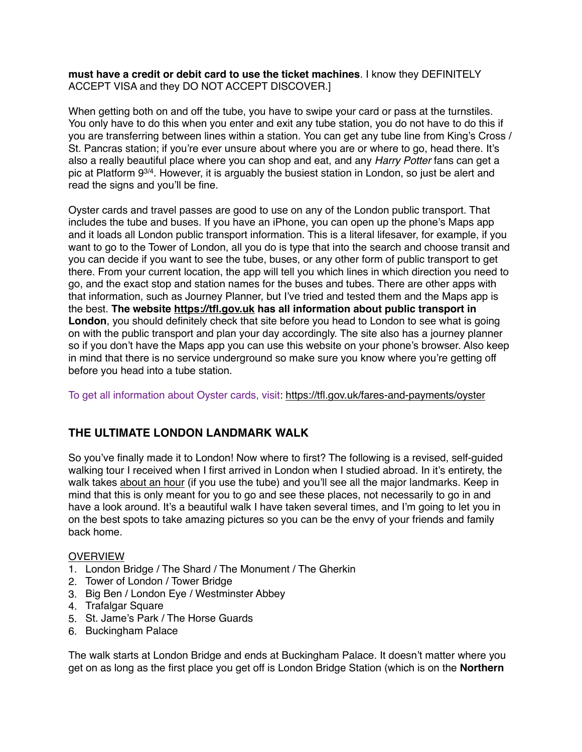**must have a credit or debit card to use the ticket machines**. I know they DEFINITELY ACCEPT VISA and they DO NOT ACCEPT DISCOVER.]

When getting both on and off the tube, you have to swipe your card or pass at the turnstiles. You only have to do this when you enter and exit any tube station, you do not have to do this if you are transferring between lines within a station. You can get any tube line from King's Cross / St. Pancras station; if you're ever unsure about where you are or where to go, head there. It's also a really beautiful place where you can shop and eat, and any *Harry Potter* fans can get a pic at Platform 93/4. However, it is arguably the busiest station in London, so just be alert and read the signs and you'll be fine.

Oyster cards and travel passes are good to use on any of the London public transport. That includes the tube and buses. If you have an iPhone, you can open up the phone's Maps app and it loads all London public transport information. This is a literal lifesaver, for example, if you want to go to the Tower of London, all you do is type that into the search and choose transit and you can decide if you want to see the tube, buses, or any other form of public transport to get there. From your current location, the app will tell you which lines in which direction you need to go, and the exact stop and station names for the buses and tubes. There are other apps with that information, such as Journey Planner, but I've tried and tested them and the Maps app is the best. **The website<https://tfl.gov.uk> has all information about public transport in London**, you should definitely check that site before you head to London to see what is going on with the public transport and plan your day accordingly. The site also has a journey planner so if you don't have the Maps app you can use this website on your phone's browser. Also keep in mind that there is no service underground so make sure you know where you're getting off before you head into a tube station.

To get all information about Oyster cards, visit: <https://tfl.gov.uk/fares-and-payments/oyster>

## **THE ULTIMATE LONDON LANDMARK WALK**

So you've finally made it to London! Now where to first? The following is a revised, self-guided walking tour I received when I first arrived in London when I studied abroad. In it's entirety, the walk takes about an hour (if you use the tube) and you'll see all the major landmarks. Keep in mind that this is only meant for you to go and see these places, not necessarily to go in and have a look around. It's a beautiful walk I have taken several times, and I'm going to let you in on the best spots to take amazing pictures so you can be the envy of your friends and family back home.

#### **OVERVIEW**

- 1. London Bridge / The Shard / The Monument / The Gherkin
- 2. Tower of London / Tower Bridge
- 3. Big Ben / London Eye / Westminster Abbey
- 4. Trafalgar Square
- 5. St. Jame's Park / The Horse Guards
- 6. Buckingham Palace

The walk starts at London Bridge and ends at Buckingham Palace. It doesn't matter where you get on as long as the first place you get off is London Bridge Station (which is on the **Northern**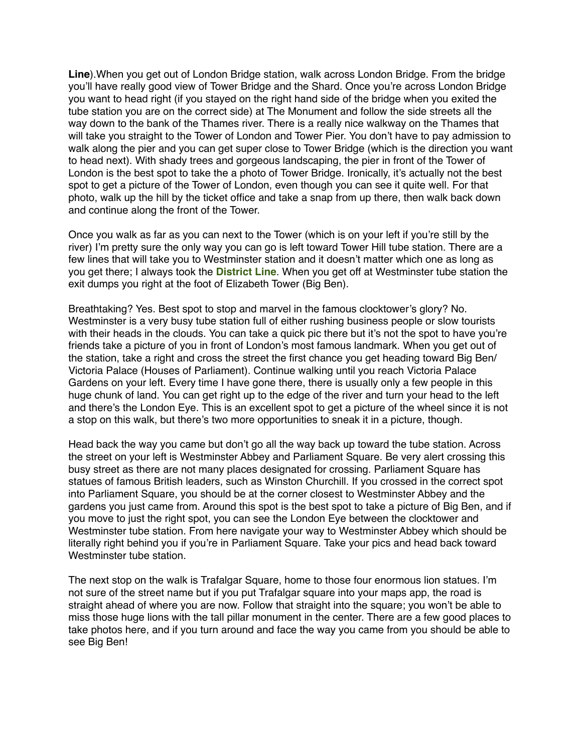**Line**).When you get out of London Bridge station, walk across London Bridge. From the bridge you'll have really good view of Tower Bridge and the Shard. Once you're across London Bridge you want to head right (if you stayed on the right hand side of the bridge when you exited the tube station you are on the correct side) at The Monument and follow the side streets all the way down to the bank of the Thames river. There is a really nice walkway on the Thames that will take you straight to the Tower of London and Tower Pier. You don't have to pay admission to walk along the pier and you can get super close to Tower Bridge (which is the direction you want to head next). With shady trees and gorgeous landscaping, the pier in front of the Tower of London is the best spot to take the a photo of Tower Bridge. Ironically, it's actually not the best spot to get a picture of the Tower of London, even though you can see it quite well. For that photo, walk up the hill by the ticket office and take a snap from up there, then walk back down and continue along the front of the Tower.

Once you walk as far as you can next to the Tower (which is on your left if you're still by the river) I'm pretty sure the only way you can go is left toward Tower Hill tube station. There are a few lines that will take you to Westminster station and it doesn't matter which one as long as you get there; I always took the **District Line**. When you get off at Westminster tube station the exit dumps you right at the foot of Elizabeth Tower (Big Ben).

Breathtaking? Yes. Best spot to stop and marvel in the famous clocktower's glory? No. Westminster is a very busy tube station full of either rushing business people or slow tourists with their heads in the clouds. You can take a quick pic there but it's not the spot to have you're friends take a picture of you in front of London's most famous landmark. When you get out of the station, take a right and cross the street the first chance you get heading toward Big Ben/ Victoria Palace (Houses of Parliament). Continue walking until you reach Victoria Palace Gardens on your left. Every time I have gone there, there is usually only a few people in this huge chunk of land. You can get right up to the edge of the river and turn your head to the left and there's the London Eye. This is an excellent spot to get a picture of the wheel since it is not a stop on this walk, but there's two more opportunities to sneak it in a picture, though.

Head back the way you came but don't go all the way back up toward the tube station. Across the street on your left is Westminster Abbey and Parliament Square. Be very alert crossing this busy street as there are not many places designated for crossing. Parliament Square has statues of famous British leaders, such as Winston Churchill. If you crossed in the correct spot into Parliament Square, you should be at the corner closest to Westminster Abbey and the gardens you just came from. Around this spot is the best spot to take a picture of Big Ben, and if you move to just the right spot, you can see the London Eye between the clocktower and Westminster tube station. From here navigate your way to Westminster Abbey which should be literally right behind you if you're in Parliament Square. Take your pics and head back toward Westminster tube station

The next stop on the walk is Trafalgar Square, home to those four enormous lion statues. I'm not sure of the street name but if you put Trafalgar square into your maps app, the road is straight ahead of where you are now. Follow that straight into the square; you won't be able to miss those huge lions with the tall pillar monument in the center. There are a few good places to take photos here, and if you turn around and face the way you came from you should be able to see Big Ben!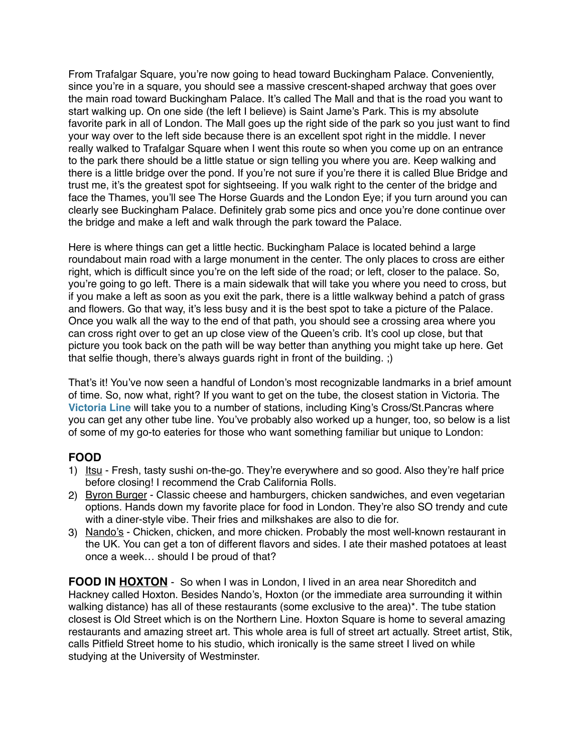From Trafalgar Square, you're now going to head toward Buckingham Palace. Conveniently, since you're in a square, you should see a massive crescent-shaped archway that goes over the main road toward Buckingham Palace. It's called The Mall and that is the road you want to start walking up. On one side (the left I believe) is Saint Jame's Park. This is my absolute favorite park in all of London. The Mall goes up the right side of the park so you just want to find your way over to the left side because there is an excellent spot right in the middle. I never really walked to Trafalgar Square when I went this route so when you come up on an entrance to the park there should be a little statue or sign telling you where you are. Keep walking and there is a little bridge over the pond. If you're not sure if you're there it is called Blue Bridge and trust me, it's the greatest spot for sightseeing. If you walk right to the center of the bridge and face the Thames, you'll see The Horse Guards and the London Eye; if you turn around you can clearly see Buckingham Palace. Definitely grab some pics and once you're done continue over the bridge and make a left and walk through the park toward the Palace.

Here is where things can get a little hectic. Buckingham Palace is located behind a large roundabout main road with a large monument in the center. The only places to cross are either right, which is difficult since you're on the left side of the road; or left, closer to the palace. So, you're going to go left. There is a main sidewalk that will take you where you need to cross, but if you make a left as soon as you exit the park, there is a little walkway behind a patch of grass and flowers. Go that way, it's less busy and it is the best spot to take a picture of the Palace. Once you walk all the way to the end of that path, you should see a crossing area where you can cross right over to get an up close view of the Queen's crib. It's cool up close, but that picture you took back on the path will be way better than anything you might take up here. Get that selfie though, there's always guards right in front of the building. ;)

That's it! You've now seen a handful of London's most recognizable landmarks in a brief amount of time. So, now what, right? If you want to get on the tube, the closest station in Victoria. The **Victoria Line** will take you to a number of stations, including King's Cross/St.Pancras where you can get any other tube line. You've probably also worked up a hunger, too, so below is a list of some of my go-to eateries for those who want something familiar but unique to London:

### **FOOD**

- 1) Itsu Fresh, tasty sushi on-the-go. They're everywhere and so good. Also they're half price before closing! I recommend the Crab California Rolls.
- 2) Byron Burger Classic cheese and hamburgers, chicken sandwiches, and even vegetarian options. Hands down my favorite place for food in London. They're also SO trendy and cute with a diner-style vibe. Their fries and milkshakes are also to die for.
- 3) Nando's Chicken, chicken, and more chicken. Probably the most well-known restaurant in the UK. You can get a ton of different flavors and sides. I ate their mashed potatoes at least once a week… should I be proud of that?

**FOOD IN HOXTON** - So when I was in London, I lived in an area near Shoreditch and Hackney called Hoxton. Besides Nando's, Hoxton (or the immediate area surrounding it within walking distance) has all of these restaurants (some exclusive to the area)\*. The tube station closest is Old Street which is on the Northern Line. Hoxton Square is home to several amazing restaurants and amazing street art. This whole area is full of street art actually. Street artist, Stik, calls Pitfield Street home to his studio, which ironically is the same street I lived on while studying at the University of Westminster.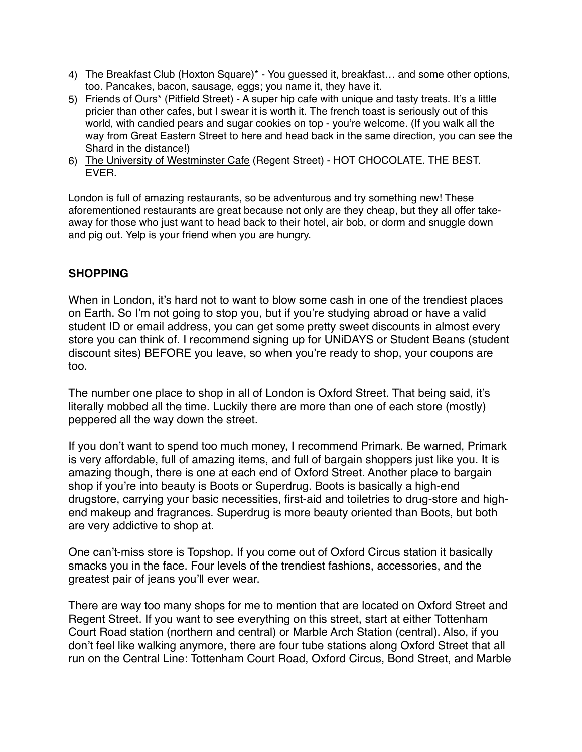- 4) The Breakfast Club (Hoxton Square)\* You guessed it, breakfast… and some other options, too. Pancakes, bacon, sausage, eggs; you name it, they have it.
- 5) Friends of Ours<sup>\*</sup> (Pitfield Street) A super hip cafe with unique and tasty treats. It's a little pricier than other cafes, but I swear it is worth it. The french toast is seriously out of this world, with candied pears and sugar cookies on top - you're welcome. (If you walk all the way from Great Eastern Street to here and head back in the same direction, you can see the Shard in the distance!)
- 6) The University of Westminster Cafe (Regent Street) HOT CHOCOLATE. THE BEST. EVER.

London is full of amazing restaurants, so be adventurous and try something new! These aforementioned restaurants are great because not only are they cheap, but they all offer takeaway for those who just want to head back to their hotel, air bob, or dorm and snuggle down and pig out. Yelp is your friend when you are hungry.

# **SHOPPING**

When in London, it's hard not to want to blow some cash in one of the trendiest places on Earth. So I'm not going to stop you, but if you're studying abroad or have a valid student ID or email address, you can get some pretty sweet discounts in almost every store you can think of. I recommend signing up for UNiDAYS or Student Beans (student discount sites) BEFORE you leave, so when you're ready to shop, your coupons are too.

The number one place to shop in all of London is Oxford Street. That being said, it's literally mobbed all the time. Luckily there are more than one of each store (mostly) peppered all the way down the street.

If you don't want to spend too much money, I recommend Primark. Be warned, Primark is very affordable, full of amazing items, and full of bargain shoppers just like you. It is amazing though, there is one at each end of Oxford Street. Another place to bargain shop if you're into beauty is Boots or Superdrug. Boots is basically a high-end drugstore, carrying your basic necessities, first-aid and toiletries to drug-store and highend makeup and fragrances. Superdrug is more beauty oriented than Boots, but both are very addictive to shop at.

One can't-miss store is Topshop. If you come out of Oxford Circus station it basically smacks you in the face. Four levels of the trendiest fashions, accessories, and the greatest pair of jeans you'll ever wear.

There are way too many shops for me to mention that are located on Oxford Street and Regent Street. If you want to see everything on this street, start at either Tottenham Court Road station (northern and central) or Marble Arch Station (central). Also, if you don't feel like walking anymore, there are four tube stations along Oxford Street that all run on the Central Line: Tottenham Court Road, Oxford Circus, Bond Street, and Marble